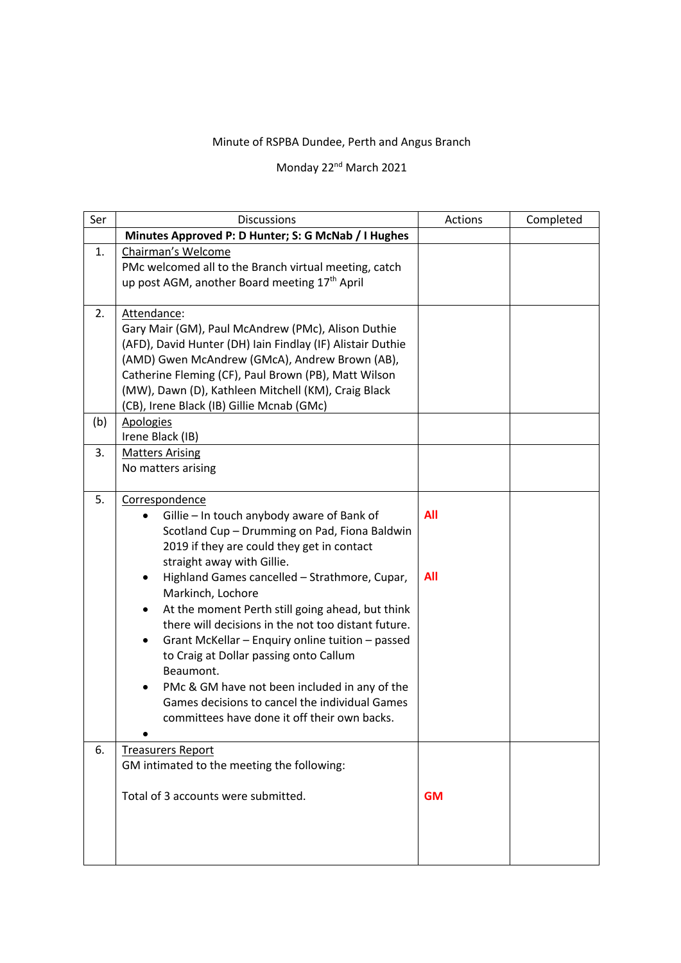## Minute of RSPBA Dundee, Perth and Angus Branch

## Monday 22<sup>nd</sup> March 2021

| Ser | <b>Discussions</b>                                                                                                                                                                                                                                                                                                                                                                                                                                                                                                                                                                                                                                      | Actions                  | Completed |
|-----|---------------------------------------------------------------------------------------------------------------------------------------------------------------------------------------------------------------------------------------------------------------------------------------------------------------------------------------------------------------------------------------------------------------------------------------------------------------------------------------------------------------------------------------------------------------------------------------------------------------------------------------------------------|--------------------------|-----------|
|     | Minutes Approved P: D Hunter; S: G McNab / I Hughes                                                                                                                                                                                                                                                                                                                                                                                                                                                                                                                                                                                                     |                          |           |
| 1.  | Chairman's Welcome<br>PMc welcomed all to the Branch virtual meeting, catch<br>up post AGM, another Board meeting 17 <sup>th</sup> April                                                                                                                                                                                                                                                                                                                                                                                                                                                                                                                |                          |           |
| 2.  | Attendance:<br>Gary Mair (GM), Paul McAndrew (PMc), Alison Duthie<br>(AFD), David Hunter (DH) Iain Findlay (IF) Alistair Duthie<br>(AMD) Gwen McAndrew (GMcA), Andrew Brown (AB),<br>Catherine Fleming (CF), Paul Brown (PB), Matt Wilson<br>(MW), Dawn (D), Kathleen Mitchell (KM), Craig Black<br>(CB), Irene Black (IB) Gillie Mcnab (GMc)                                                                                                                                                                                                                                                                                                           |                          |           |
| (b) | <b>Apologies</b><br>Irene Black (IB)                                                                                                                                                                                                                                                                                                                                                                                                                                                                                                                                                                                                                    |                          |           |
| 3.  | <b>Matters Arising</b><br>No matters arising                                                                                                                                                                                                                                                                                                                                                                                                                                                                                                                                                                                                            |                          |           |
| 5.  | Correspondence<br>Gillie - In touch anybody aware of Bank of<br>Scotland Cup - Drumming on Pad, Fiona Baldwin<br>2019 if they are could they get in contact<br>straight away with Gillie.<br>Highland Games cancelled - Strathmore, Cupar,<br>Markinch, Lochore<br>At the moment Perth still going ahead, but think<br>٠<br>there will decisions in the not too distant future.<br>Grant McKellar - Enquiry online tuition - passed<br>٠<br>to Craig at Dollar passing onto Callum<br>Beaumont.<br>PMc & GM have not been included in any of the<br>٠<br>Games decisions to cancel the individual Games<br>committees have done it off their own backs. | <b>All</b><br><b>All</b> |           |
| 6.  | <b>Treasurers Report</b><br>GM intimated to the meeting the following:<br>Total of 3 accounts were submitted.                                                                                                                                                                                                                                                                                                                                                                                                                                                                                                                                           | <b>GM</b>                |           |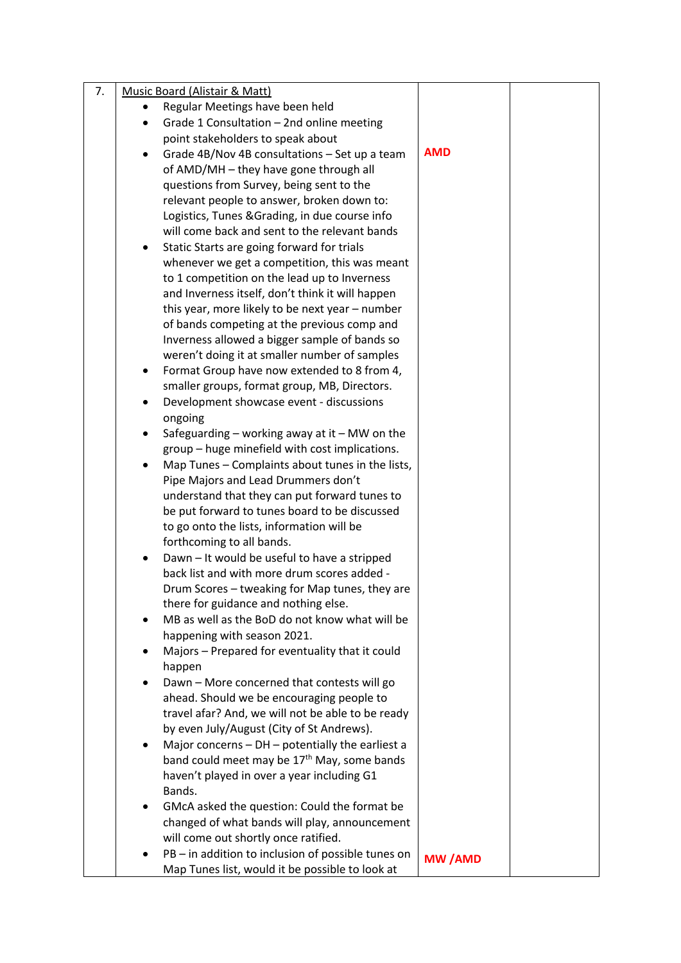| 7. |           | Music Board (Alistair & Matt)                           |               |  |
|----|-----------|---------------------------------------------------------|---------------|--|
|    |           | Regular Meetings have been held                         |               |  |
|    |           | Grade 1 Consultation - 2nd online meeting               |               |  |
|    |           | point stakeholders to speak about                       |               |  |
|    |           | Grade 4B/Nov 4B consultations - Set up a team           | <b>AMD</b>    |  |
|    |           | of AMD/MH - they have gone through all                  |               |  |
|    |           | questions from Survey, being sent to the                |               |  |
|    |           | relevant people to answer, broken down to:              |               |  |
|    |           | Logistics, Tunes & Grading, in due course info          |               |  |
|    |           | will come back and sent to the relevant bands           |               |  |
|    |           | Static Starts are going forward for trials              |               |  |
|    |           | whenever we get a competition, this was meant           |               |  |
|    |           | to 1 competition on the lead up to Inverness            |               |  |
|    |           | and Inverness itself, don't think it will happen        |               |  |
|    |           | this year, more likely to be next year - number         |               |  |
|    |           | of bands competing at the previous comp and             |               |  |
|    |           | Inverness allowed a bigger sample of bands so           |               |  |
|    |           | weren't doing it at smaller number of samples           |               |  |
|    |           | Format Group have now extended to 8 from 4,             |               |  |
|    |           | smaller groups, format group, MB, Directors.            |               |  |
|    |           | Development showcase event - discussions                |               |  |
|    |           | ongoing                                                 |               |  |
|    |           | Safeguarding $-$ working away at it $-$ MW on the       |               |  |
|    |           | group - huge minefield with cost implications.          |               |  |
|    | $\bullet$ | Map Tunes - Complaints about tunes in the lists,        |               |  |
|    |           | Pipe Majors and Lead Drummers don't                     |               |  |
|    |           | understand that they can put forward tunes to           |               |  |
|    |           | be put forward to tunes board to be discussed           |               |  |
|    |           | to go onto the lists, information will be               |               |  |
|    |           | forthcoming to all bands.                               |               |  |
|    |           | Dawn - It would be useful to have a stripped            |               |  |
|    |           | back list and with more drum scores added -             |               |  |
|    |           | Drum Scores - tweaking for Map tunes, they are          |               |  |
|    |           | there for guidance and nothing else.                    |               |  |
|    |           | MB as well as the BoD do not know what will be          |               |  |
|    |           | happening with season 2021.                             |               |  |
|    | ٠         | Majors - Prepared for eventuality that it could         |               |  |
|    |           | happen                                                  |               |  |
|    |           | Dawn - More concerned that contests will go             |               |  |
|    |           | ahead. Should we be encouraging people to               |               |  |
|    |           | travel afar? And, we will not be able to be ready       |               |  |
|    |           | by even July/August (City of St Andrews).               |               |  |
|    | ٠         | Major concerns - DH - potentially the earliest a        |               |  |
|    |           | band could meet may be 17 <sup>th</sup> May, some bands |               |  |
|    |           | haven't played in over a year including G1              |               |  |
|    |           | Bands.                                                  |               |  |
|    |           | GMcA asked the question: Could the format be            |               |  |
|    |           | changed of what bands will play, announcement           |               |  |
|    |           | will come out shortly once ratified.                    |               |  |
|    |           | PB - in addition to inclusion of possible tunes on      |               |  |
|    |           | Map Tunes list, would it be possible to look at         | <b>MW/AMD</b> |  |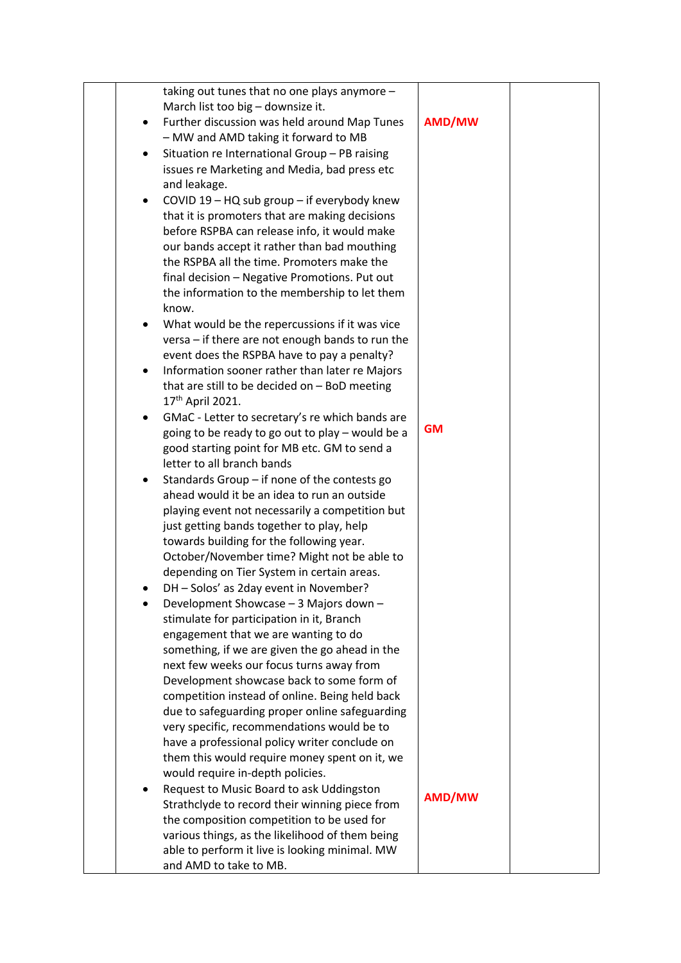|           | taking out tunes that no one plays anymore -                                      |           |  |
|-----------|-----------------------------------------------------------------------------------|-----------|--|
|           | March list too big - downsize it.                                                 |           |  |
| ٠         | Further discussion was held around Map Tunes                                      | AMD/MW    |  |
|           | - MW and AMD taking it forward to MB                                              |           |  |
| ٠         | Situation re International Group - PB raising                                     |           |  |
|           | issues re Marketing and Media, bad press etc                                      |           |  |
|           | and leakage.                                                                      |           |  |
| ٠         | COVID 19 - HQ sub group - if everybody knew                                       |           |  |
|           | that it is promoters that are making decisions                                    |           |  |
|           | before RSPBA can release info, it would make                                      |           |  |
|           | our bands accept it rather than bad mouthing                                      |           |  |
|           | the RSPBA all the time. Promoters make the                                        |           |  |
|           | final decision - Negative Promotions. Put out                                     |           |  |
|           | the information to the membership to let them                                     |           |  |
|           | know.                                                                             |           |  |
|           | What would be the repercussions if it was vice                                    |           |  |
|           | versa - if there are not enough bands to run the                                  |           |  |
|           | event does the RSPBA have to pay a penalty?                                       |           |  |
| ٠         | Information sooner rather than later re Majors                                    |           |  |
|           | that are still to be decided on - BoD meeting                                     |           |  |
|           | 17 <sup>th</sup> April 2021.                                                      |           |  |
| $\bullet$ | GMaC - Letter to secretary's re which bands are                                   |           |  |
|           | going to be ready to go out to play - would be a                                  | <b>GM</b> |  |
|           | good starting point for MB etc. GM to send a                                      |           |  |
|           | letter to all branch bands                                                        |           |  |
|           | Standards Group - if none of the contests go                                      |           |  |
|           | ahead would it be an idea to run an outside                                       |           |  |
|           | playing event not necessarily a competition but                                   |           |  |
|           | just getting bands together to play, help                                         |           |  |
|           | towards building for the following year.                                          |           |  |
|           | October/November time? Might not be able to                                       |           |  |
|           | depending on Tier System in certain areas.                                        |           |  |
|           | DH - Solos' as 2day event in November?                                            |           |  |
|           | Development Showcase - 3 Majors down -                                            |           |  |
|           | stimulate for participation in it, Branch                                         |           |  |
|           | engagement that we are wanting to do                                              |           |  |
|           | something, if we are given the go ahead in the                                    |           |  |
|           | next few weeks our focus turns away from                                          |           |  |
|           | Development showcase back to some form of                                         |           |  |
|           | competition instead of online. Being held back                                    |           |  |
|           | due to safeguarding proper online safeguarding                                    |           |  |
|           | very specific, recommendations would be to                                        |           |  |
|           | have a professional policy writer conclude on                                     |           |  |
|           | them this would require money spent on it, we<br>would require in-depth policies. |           |  |
| $\bullet$ | Request to Music Board to ask Uddingston                                          |           |  |
|           | Strathclyde to record their winning piece from                                    | AMD/MW    |  |
|           | the composition competition to be used for                                        |           |  |
|           | various things, as the likelihood of them being                                   |           |  |
|           | able to perform it live is looking minimal. MW                                    |           |  |
|           | and AMD to take to MB.                                                            |           |  |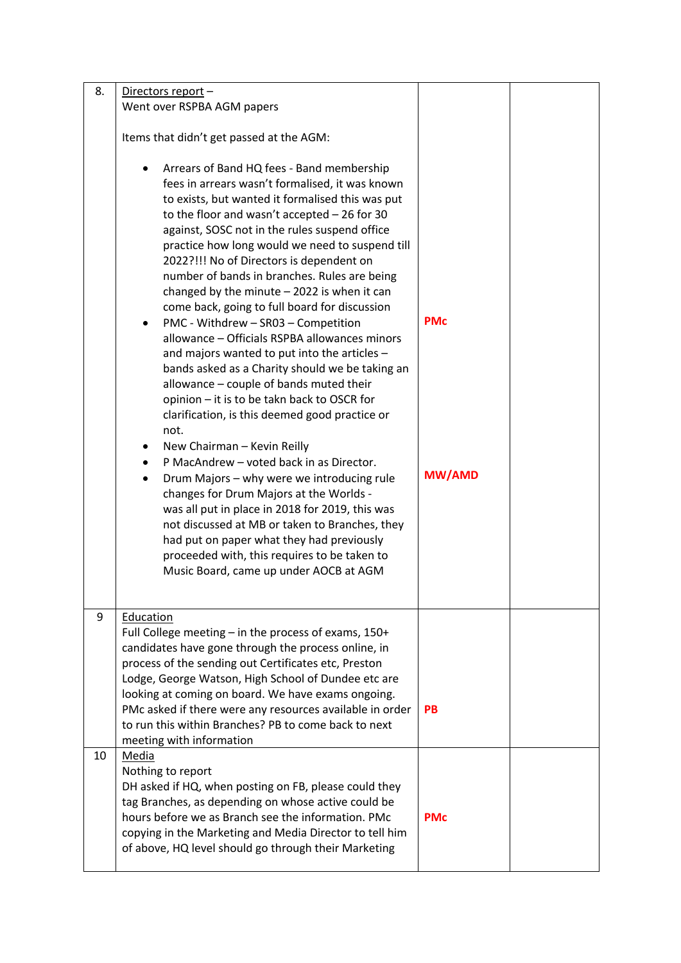| 8. | Directors report -<br>Went over RSPBA AGM papers                                                                                                                                                                                                                                                                                                                                                                                                                                                                                                                                                                                                                                                                                                                                                                                                                                                                                                                                                                                                                                                                                                                                                                                                                                     |                             |  |
|----|--------------------------------------------------------------------------------------------------------------------------------------------------------------------------------------------------------------------------------------------------------------------------------------------------------------------------------------------------------------------------------------------------------------------------------------------------------------------------------------------------------------------------------------------------------------------------------------------------------------------------------------------------------------------------------------------------------------------------------------------------------------------------------------------------------------------------------------------------------------------------------------------------------------------------------------------------------------------------------------------------------------------------------------------------------------------------------------------------------------------------------------------------------------------------------------------------------------------------------------------------------------------------------------|-----------------------------|--|
|    |                                                                                                                                                                                                                                                                                                                                                                                                                                                                                                                                                                                                                                                                                                                                                                                                                                                                                                                                                                                                                                                                                                                                                                                                                                                                                      |                             |  |
|    | Items that didn't get passed at the AGM:                                                                                                                                                                                                                                                                                                                                                                                                                                                                                                                                                                                                                                                                                                                                                                                                                                                                                                                                                                                                                                                                                                                                                                                                                                             |                             |  |
|    | Arrears of Band HQ fees - Band membership<br>fees in arrears wasn't formalised, it was known<br>to exists, but wanted it formalised this was put<br>to the floor and wasn't accepted $-26$ for 30<br>against, SOSC not in the rules suspend office<br>practice how long would we need to suspend till<br>2022?!!! No of Directors is dependent on<br>number of bands in branches. Rules are being<br>changed by the minute $-$ 2022 is when it can<br>come back, going to full board for discussion<br>PMC - Withdrew - SR03 - Competition<br>٠<br>allowance - Officials RSPBA allowances minors<br>and majors wanted to put into the articles -<br>bands asked as a Charity should we be taking an<br>allowance - couple of bands muted their<br>opinion - it is to be takn back to OSCR for<br>clarification, is this deemed good practice or<br>not.<br>New Chairman - Kevin Reilly<br>P MacAndrew - voted back in as Director.<br>Drum Majors - why were we introducing rule<br>$\bullet$<br>changes for Drum Majors at the Worlds -<br>was all put in place in 2018 for 2019, this was<br>not discussed at MB or taken to Branches, they<br>had put on paper what they had previously<br>proceeded with, this requires to be taken to<br>Music Board, came up under AOCB at AGM | <b>PMc</b><br><b>MW/AMD</b> |  |
| 9  | Education<br>Full College meeting - in the process of exams, 150+<br>candidates have gone through the process online, in<br>process of the sending out Certificates etc, Preston<br>Lodge, George Watson, High School of Dundee etc are<br>looking at coming on board. We have exams ongoing.<br>PMc asked if there were any resources available in order<br>to run this within Branches? PB to come back to next<br>meeting with information                                                                                                                                                                                                                                                                                                                                                                                                                                                                                                                                                                                                                                                                                                                                                                                                                                        | <b>PB</b>                   |  |
| 10 | <b>Media</b><br>Nothing to report<br>DH asked if HQ, when posting on FB, please could they<br>tag Branches, as depending on whose active could be<br>hours before we as Branch see the information. PMc<br>copying in the Marketing and Media Director to tell him<br>of above, HQ level should go through their Marketing                                                                                                                                                                                                                                                                                                                                                                                                                                                                                                                                                                                                                                                                                                                                                                                                                                                                                                                                                           | <b>PMc</b>                  |  |